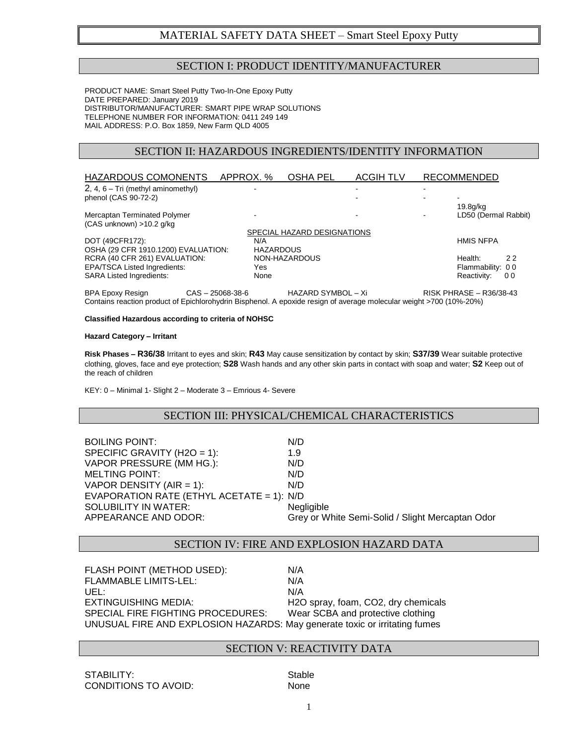# MATERIAL SAFETY DATA SHEET – Smart Steel Epoxy Putty

## SECTION I: PRODUCT IDENTITY/MANUFACTURER

PRODUCT NAME: Smart Steel Putty Two-In-One Epoxy Putty DATE PREPARED: January 2019 DISTRIBUTOR/MANUFACTURER: SMART PIPE WRAP SOLUTIONS TELEPHONE NUMBER FOR INFORMATION: 0411 249 149 MAIL ADDRESS: P.O. Box 1859, New Farm QLD 4005

## SECTION II: HAZARDOUS INGREDIENTS/IDENTITY INFORMATION

| HAZARDOUS COMONENTS                                       | APPROX. %                | OSHA PEL                    | <b>ACGIH TLV</b> | <b>RECOMMENDED</b>               |
|-----------------------------------------------------------|--------------------------|-----------------------------|------------------|----------------------------------|
| $2, 4, 6$ – Tri (methyl aminomethyl)                      | $\overline{\phantom{0}}$ |                             |                  |                                  |
| phenol (CAS 90-72-2)                                      |                          |                             |                  | $\blacksquare$                   |
| Mercaptan Terminated Polymer<br>(CAS unknown) > 10.2 q/kg |                          |                             |                  | 19.8g/kg<br>LD50 (Dermal Rabbit) |
|                                                           |                          | SPECIAL HAZARD DESIGNATIONS |                  |                                  |
| DOT (49CFR172):                                           | N/A                      |                             |                  | <b>HMIS NFPA</b>                 |
| OSHA (29 CFR 1910.1200) EVALUATION:                       | <b>HAZARDOUS</b>         |                             |                  |                                  |
| RCRA (40 CFR 261) EVALUATION:                             |                          | NON-HAZARDOUS               |                  | Health:<br>22                    |
| <b>EPA/TSCA Listed Ingredients:</b>                       | Yes                      |                             |                  | Flammability: 00                 |
| <b>SARA Listed Ingredients:</b>                           | None                     |                             |                  | Reactivity:<br>00                |

BPA Epoxy Resign CAS – 25068-38-6 HAZARD SYMBOL – Xi RISK PHRASE – R36/38-43 Contains reaction product of Epichlorohydrin Bisphenol. A epoxide resign of average molecular weight >700 (10%-20%)

#### **Classified Hazardous according to criteria of NOHSC**

#### **Hazard Category – Irritant**

**Risk Phases – R36/38** Irritant to eyes and skin; **R43** May cause sensitization by contact by skin; **S37/39** Wear suitable protective clothing, gloves, face and eye protection; **S28** Wash hands and any other skin parts in contact with soap and water; **S2** Keep out of the reach of children

KEY: 0 – Minimal 1- Slight 2 – Moderate 3 – Emrious 4- Severe

## SECTION III: PHYSICAL/CHEMICAL CHARACTERISTICS

BOILING POINT: N/D SPECIFIC GRAVITY (H2O = 1):  $1.9$ VAPOR PRESSURE (MM HG.): N/D MELTING POINT: N/D VAPOR DENSITY  $(AIR = 1)$ :  $N/D$ EVAPORATION RATE (ETHYL ACETATE = 1): N/D SOLUBILITY IN WATER:<br>
APPEARANCE AND ODOR: Grev or W Grey or White Semi-Solid / Slight Mercaptan Odor

#### SECTION IV: FIRE AND EXPLOSION HAZARD DATA

| FLASH POINT (METHOD USED):                                                 | N/A                                 |
|----------------------------------------------------------------------------|-------------------------------------|
| <b>FLAMMABLE LIMITS-LEL:</b>                                               | N/A                                 |
| UEL:                                                                       | N/A                                 |
| EXTINGUISHING MEDIA:                                                       | H2O spray, foam, CO2, dry chemicals |
| SPECIAL FIRE FIGHTING PROCEDURES:                                          | Wear SCBA and protective clothing   |
| UNUSUAL FIRE AND EXPLOSION HAZARDS: May generate toxic or irritating fumes |                                     |
|                                                                            |                                     |

### SECTION V: REACTIVITY DATA

STABILITY: STABILITY: CONDITIONS TO AVOID: None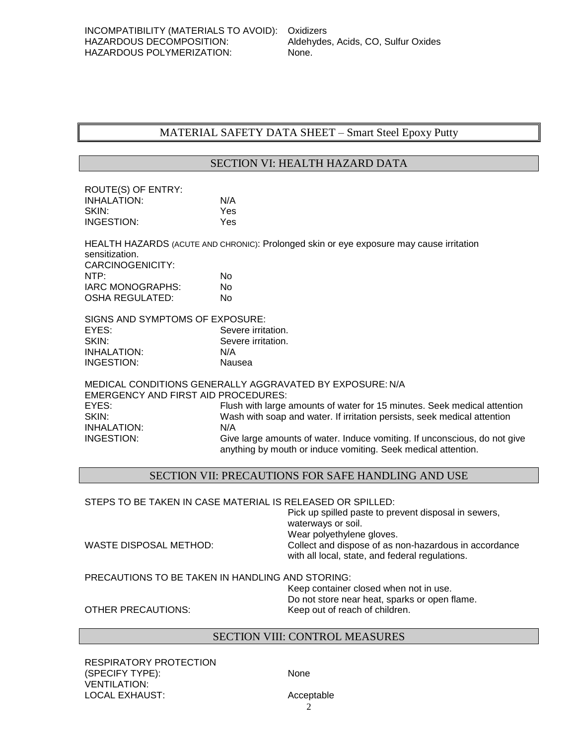# MATERIAL SAFETY DATA SHEET – Smart Steel Epoxy Putty

## SECTION VI: HEALTH HAZARD DATA

| ROUTE(S) OF ENTRY: |     |
|--------------------|-----|
| <b>INHALATION:</b> | N/A |
| SKIN:              | Yes |
| INGESTION:         | Yes |

HEALTH HAZARDS (ACUTE AND CHRONIC): Prolonged skin or eye exposure may cause irritation sensitization. CARCINOGENICITY: NTP: No IARC MONOGRAPHS: No OSHA REGULATED: No

| SIGNS AND SYMPTOMS OF EXPOSURE: |                    |
|---------------------------------|--------------------|
| EYES:                           | Severe irritation. |
| SKIN:                           | Severe irritation. |
| INHALATION:                     | N/A                |
| INGESTION:                      | Nausea             |

MEDICAL CONDITIONS GENERALLY AGGRAVATED BY EXPOSURE: N/A EMERGENCY AND FIRST AID PROCEDURES: EYES: Flush with large amounts of water for 15 minutes. Seek medical attention SKIN: Wash with soap and water. If irritation persists, seek medical attention INHALATION: N/A INGESTION: Give large amounts of water. Induce vomiting. If unconscious, do not give anything by mouth or induce vomiting. Seek medical attention.

## SECTION VII: PRECAUTIONS FOR SAFE HANDLING AND USE

#### STEPS TO BE TAKEN IN CASE MATERIAL IS RELEASED OR SPILLED: Pick up spilled paste to prevent disposal in sewers,

|                        | PICK UP Spliled paste to prevent disposal in sewers,<br>waterways or soil.                               |
|------------------------|----------------------------------------------------------------------------------------------------------|
|                        |                                                                                                          |
|                        | Wear polyethylene gloves.                                                                                |
| WASTE DISPOSAL METHOD: | Collect and dispose of as non-hazardous in accordance<br>with all local, state, and federal regulations. |
|                        |                                                                                                          |

PRECAUTIONS TO BE TAKEN IN HANDLING AND STORING:

Keep container closed when not in use. Do not store near heat, sparks or open flame. OTHER PRECAUTIONS: Keep out of reach of children.

## SECTION VIII: CONTROL MEASURES

RESPIRATORY PROTECTION (SPECIFY TYPE): None VENTILATION: LOCAL EXHAUST: Acceptable